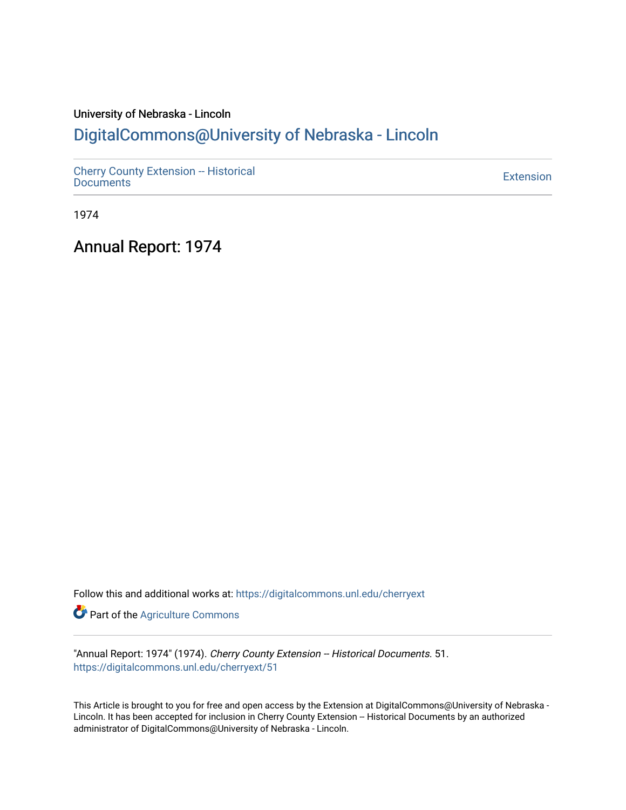# University of Nebraska - Lincoln [DigitalCommons@University of Nebraska - Lincoln](https://digitalcommons.unl.edu/)

[Cherry County Extension -- Historical](https://digitalcommons.unl.edu/cherryext)  [Documents](https://digitalcommons.unl.edu/cherryext) [Extension](https://digitalcommons.unl.edu/coop_extension) 

1974

Annual Report: 1974

Follow this and additional works at: [https://digitalcommons.unl.edu/cherryext](https://digitalcommons.unl.edu/cherryext?utm_source=digitalcommons.unl.edu%2Fcherryext%2F51&utm_medium=PDF&utm_campaign=PDFCoverPages) 

**Part of the [Agriculture Commons](http://network.bepress.com/hgg/discipline/1076?utm_source=digitalcommons.unl.edu%2Fcherryext%2F51&utm_medium=PDF&utm_campaign=PDFCoverPages)** 

"Annual Report: 1974" (1974). Cherry County Extension -- Historical Documents. 51. [https://digitalcommons.unl.edu/cherryext/51](https://digitalcommons.unl.edu/cherryext/51?utm_source=digitalcommons.unl.edu%2Fcherryext%2F51&utm_medium=PDF&utm_campaign=PDFCoverPages)

This Article is brought to you for free and open access by the Extension at DigitalCommons@University of Nebraska - Lincoln. It has been accepted for inclusion in Cherry County Extension -- Historical Documents by an authorized administrator of DigitalCommons@University of Nebraska - Lincoln.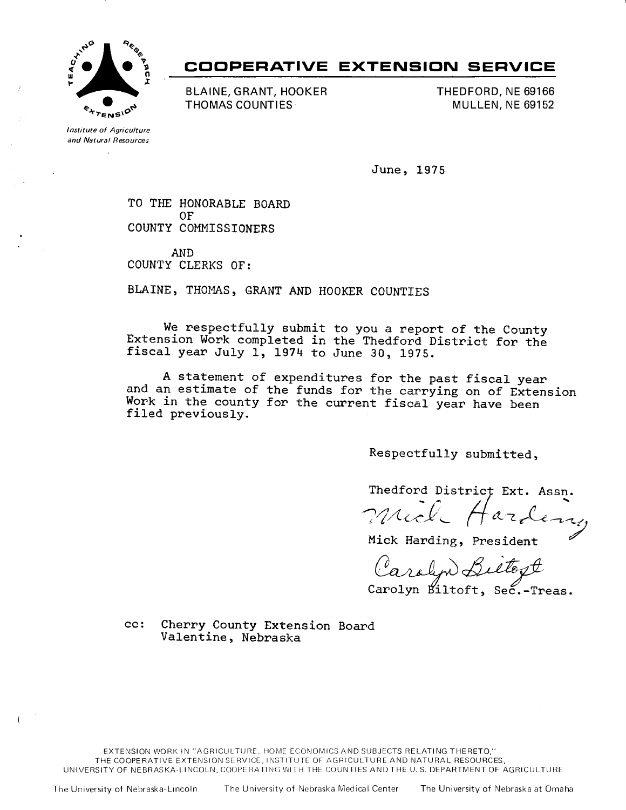

# **COOPERATIVE EXTENSION SERVICE**

**BLAINE, GRANT, HOOKER THOMAS COUNTIES** 

**THEDFORD, NE 69166 MULLEN, NE 69152** 

Institute of Agriculture and Natural Resources  $\mathbf{r}$ 

**June, 1975** 

**TO THE HONORABLE BOARD OF COUNTY COMMISSIONERS** 

**AND COUNTY CLERKS OF:** 

**BLAINE, THOMAS, GRANT AND HOOKER COUNTIES** 

**We respectfully submit to you a report of the County Extension Work completed in the Thedford District for the fiscal year July 1, 1974 to June 30, 1975.** 

**A statement of expenditures for the past fiscal year and an estimate of the funds for the carrying on of Extension Work in the county for the current fiscal year have been filed previously.** 

**Respectfully submitted,** 

Thedford Districț Ext. Assn. mil Harden Mich Harleny<br>Mick Harding, President

Carolyn Beettegt<br>Carolyn Biltoft, Sec.-Treas.

**cc: Cherry County Extension Board Valentine, Nebraska** 

EXTENSION WORK IN "AGRICULTURE, HOME ECONOMICS AND SUBJECTS RELATING THERETO," THE COOPERATIVE EXTENSION SERVICE, INSTITUTE OF AGRICULTURE AND NATURAL RESOURCES, UNIVERSITY OF NEBRASKA-LINCOLN, COOPERATING WITH THE COUNTIES AND THE U.S. DEPARTMENT OF AGRICULTURE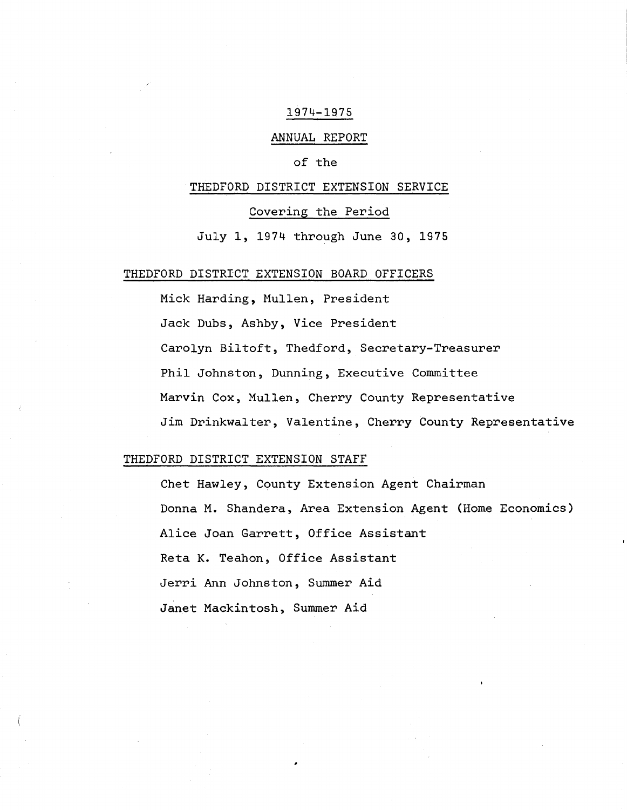#### 1974-1975

## ANNUAL REPORT

### of the

#### THEDFORD DISTRICT EXTENSION SERVICE

### Covering the Period

July **1,** 1974 through June 30, 1975

### THEDFORD DISTRICT EXTENSION BOARD OFFICERS

Mick Harding, Mullen, President Jack Dubs, Ashby, Vice President Carolyn Bi1toft, Thedford, Secretary-Treasurer Phil Johnston, Dunning, Executive Committee Marvin Cox, Mullen, Cherry County Representative Jim Drinkwa1ter, Valentine, Cherry County Representative

## THEDFORD DISTRICT EXTENSION STAFF

Chet Hawley, County Extension Agent Chairman Donna **M.** Shandera, Area Extension Agent (Home Economics) Alice Joan Garrett, Office Assistant Reta **K.** Teahon, Office Assistant Jerri Ann Johnston, Summer Aid Janet Mackintosh, Summer Aid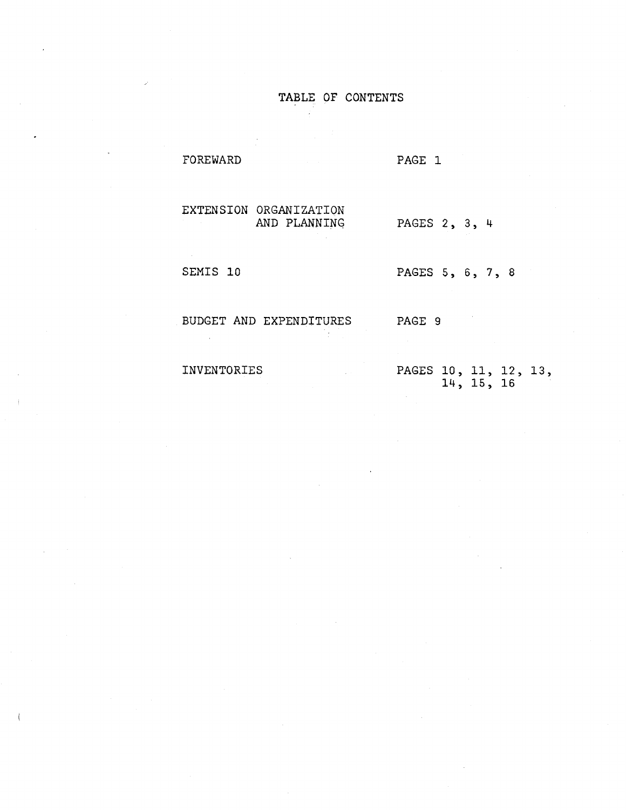## TABLE OF CONTENTS

AND PLANNING

PAGE 1

EXTENSION ORGANIZATION

PAGES 2, 3, 4

SEMIS 10

**FOREWARD** 

PAGES 5, 6, 7, 8

BUDGET AND EXPENDITURES

PAGE 9

INVENTORIES

PAGES 10, 11, 12, 13, 14, 15, 16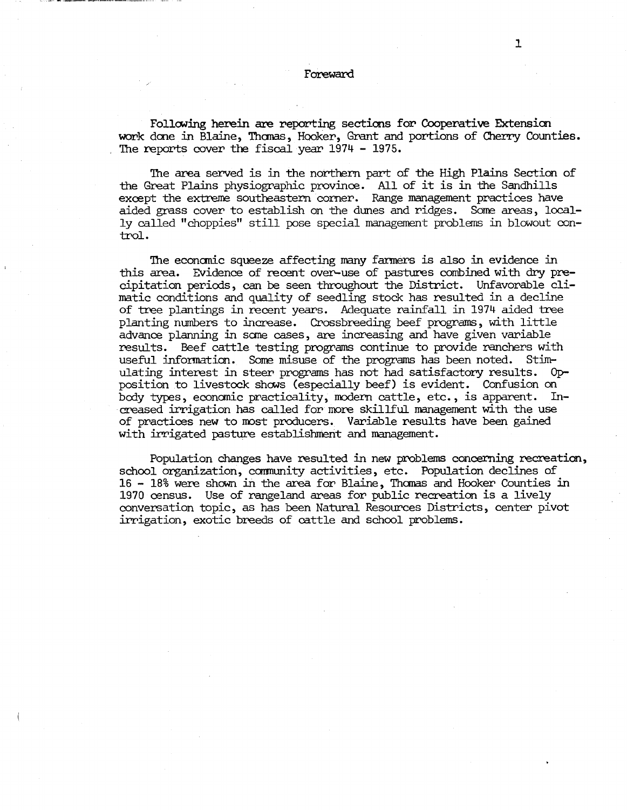#### Foreward

Following herein are reporting sections for Cooperative Extension work done in Blaine, Thomas, Hooker, Grant and portions of Cherry Counties. The reports cover the fiscal year 1974 - 1975.

The area served is in the northern part of the High Plains Section of the Great Plains physiographic province. All of it is in the Sandhi11s except the extreme southeastern corner. Range management practices have aided grass cover to establish on the dunes and ridges. Same areas, locally called "choppies" still pose special management problems in blowout control.

The econanic squeeze affecting many farmers is also in evidence in this area. Evidence of recent over-use of pastures combined with dry precipitation periods, can be seen throughout the District. Unfavorable climatic conditions and quality of seedling stock has resulted in a decline of tree plantings in recent years. Adequate rainfall in 1974 aided tree planting numbers to increase. Crossbreeding beef programs, with little advance planning in sane cases, are increasing and have given variable results. Beef cattle testing programs continue to provide ranchers with useful information. Some misuse of the programs has been noted. Stimulating interest in steer programs has not had satisfactory results. 0pposition to livestock shows (especially beef} is evident. Confusion on body types, econanic practicality, modern cattle, etc., is apparent. Increased irrigation has called for more skillful management with the use of practices new to most producers. Variable results have been gained with irrigated pasture establishment and management.

Population changes have resulted in new problems concerning recreation, school organization, community activities, etc. Population declines of 16 - 18% were shown in the area for Blaine, Thcmas and Hooker Counties in 1970 census. Use of rangeland areas for public recreation is a lively conversation topic, as has been Natural Resources Districts, center pivot irrigation, exotic breeds of cattle and school problems.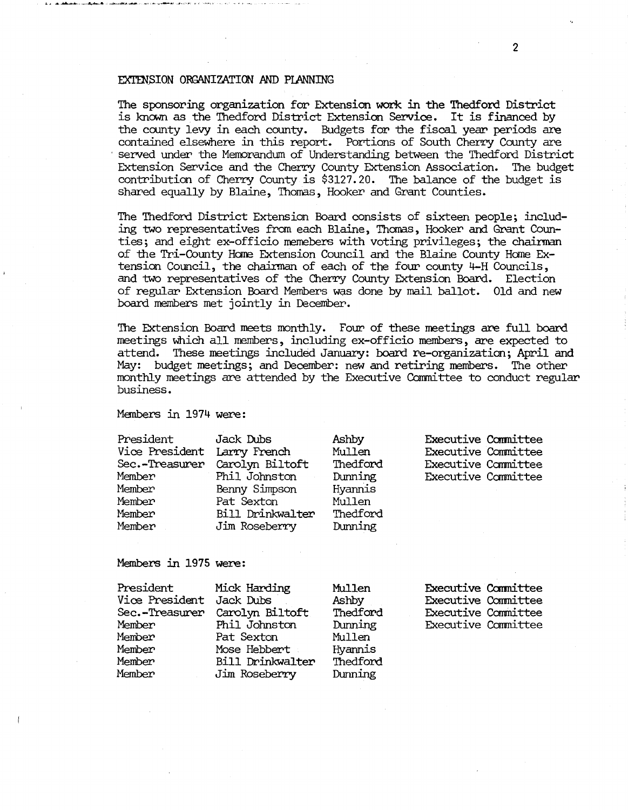#### EXTENSION ORGANIZATION AND PLANNING

The sponsoring organization for Extension work in the Thedforo District is known as the Thedford District Extension Service. It is financed by the county levy in each county. Budgets for the fiscal year periods are contained elsewhere in this report. Portions of South Cherry County are served under the Memorandum of Understanding between the Thedford District<br>Extension Service and the Cherry County Extension Association. The budget Extension Service and the Cherry County Extension Association. contribution of Cherry County is \$3127.20. The balance of the budget is shared equally by Blaine, Thomas, Hooker and Grant Counties.

The Thedford District Extension Board consists of sixteen people; including two representatives from each Blaine, Thanas, Hooker and. Grant Counties; and eight ex-officio memebers with voting privileges; the chairman of the Tri-County Home Extension Council and the Blaine County Home Extension Council, the chairman of each of the four county 4-H Councils, and two representatives of the Cherry County Extension Board. Election of regular Extension Board Members WaS done by mail ballot. Old and new board members met jointly in December.

The Extension Board meets monthly. Four of these meetings are full board meetings which all members, including ex-officio members, are expected to attend. These meetings included January: board re-organization; April and May: budget meetings; and December: new and retiring members. The other monthly meetings are attended by the Executive Camnittee to conduct regular business.

MEmbers in 1974 were:

| President<br>Vice President Larry French<br>Sec.-Treasurer<br>Member<br>Member<br>Member<br>Member<br>Member | Jack Dubs<br>Carolyn Biltoft<br>Phil Johnston<br>Benny Simpson<br>Pat Sexton<br>Bill Drinkwalter<br>Jim Roseberry | Ashby<br>Mullen<br>Thedford<br>Dunning<br>Hyannis<br>Mullen<br>Thedford<br>Dunning | <b>Executive Committee</b><br><b>Executive Committee</b><br>Executive Committee<br>Executive Committee |  |
|--------------------------------------------------------------------------------------------------------------|-------------------------------------------------------------------------------------------------------------------|------------------------------------------------------------------------------------|--------------------------------------------------------------------------------------------------------|--|
|                                                                                                              |                                                                                                                   |                                                                                    |                                                                                                        |  |

### Members in 1975 were:

| President<br>Vice President Jack Dubs<br>Sec.-Treasurer<br>Member<br>Member<br>Member<br>Member | Mick Harding<br>Carolyn Biltoft<br>Phil Johnston<br>Pat Sexton<br>Mose Hebbert<br>Bill Drinkwalter | Mullen<br>Ashby<br>Thedford<br>Dunning<br>Mullen<br>Hyannis<br>Thedford | <b>Executive Committee</b><br><b>Executive Committee</b><br>Executive Committee<br><b>Executive Committee</b> |
|-------------------------------------------------------------------------------------------------|----------------------------------------------------------------------------------------------------|-------------------------------------------------------------------------|---------------------------------------------------------------------------------------------------------------|
| Member                                                                                          | Jim Roseberry                                                                                      | Dunning                                                                 |                                                                                                               |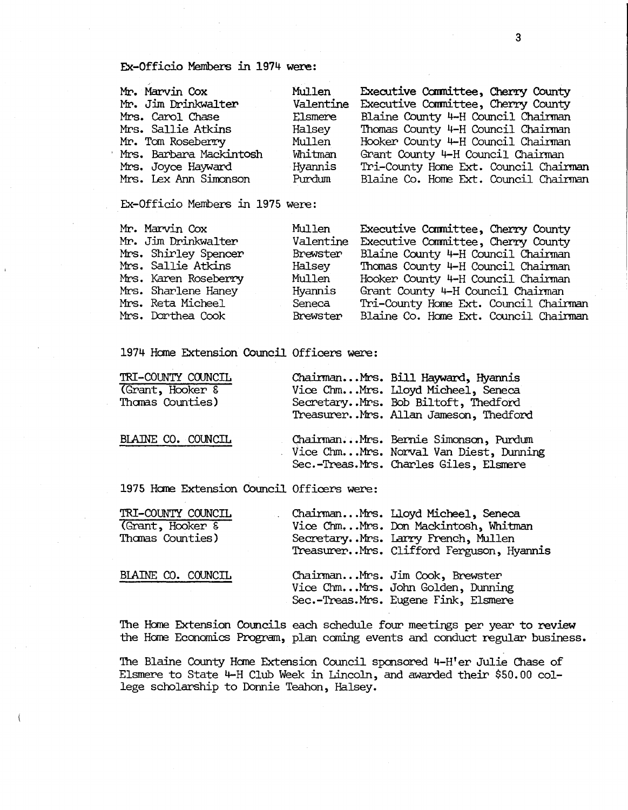Ex-Officio Members in 1974 were:

| Mr. Marvin Cox          | Executive Committee, Cherry County<br>Mullen     |  |
|-------------------------|--------------------------------------------------|--|
| Mr. Jim Drinkwalter     | Executive Committee, Cherry County<br>Valentine  |  |
| Mrs. Carol Chase        | Blaine County 4-H Council Chairman<br>Elsmere    |  |
| Mrs. Sallie Atkins      | Thomas County 4-H Council Chairman<br>Halsey     |  |
| Mr. Tom Roseberry       | Mullen<br>Hooker County 4-H Council Chairman     |  |
| Mrs. Barbara Mackintosh | Whitman<br>Grant County 4-H Council Chairman     |  |
| Mrs. Joyce Hayward      | Hyannis<br>Tri-County Home Ext. Council Chairman |  |
| Mrs. Lex Ann Simonson   | Purdum<br>Blaine Co. Home Ext. Council Chairman  |  |

Ex-Officio Members in 1975 were:

| Mr. Marvin Cox       | Mullen   | Executive Committee, Cherry County           |
|----------------------|----------|----------------------------------------------|
| Mr. Jim Drinkwalter  |          | Valentine Executive Committee, Cherry County |
| Mrs. Shirley Spencer | Brewster | Blaine County 4-H Council Chairman           |
| Mrs. Sallie Atkins   | Halsey   | Thomas County 4-H Council Chairman           |
| Mrs. Karen Roseberry | Mullen   | Hooker County 4-H Council Chairman           |
| Mrs. Sharlene Haney  | Hyannis  | Grant County 4-H Council Chairman            |
| Mrs. Reta Micheel    | Seneca   | Tri-County Home Ext. Council Chairman        |
| Mrs. Dorthea Cook    | Brewster | Blaine Co. Home Ext. Council Chairman        |

1974 Home Extension Council Officers were:

| TRI-COUNTY COUNCIL<br>(Grant, Hooker &<br>Thomas Counties) | ChairmanMrs. Bill Hayward, Hyannis<br>Vice ChmMrs. Lloyd Micheel, Seneca<br>SecretaryMrs. Bob Biltoft, Thedford<br>TreasurerMrs. Allan Jameson, Thedford |
|------------------------------------------------------------|----------------------------------------------------------------------------------------------------------------------------------------------------------|
| BLAINE CO. COUNCIL                                         | ChairmanMrs. Bernie Simonson, Purdum<br>Vice ChmMrs. Norval Van Diest, Dunning<br>Sec.-Treas.Mrs. Charles Giles, Elsmere                                 |

1975 Home Extension Council Officers were:

| TRI-COUNTY COUNCIL | ChairmanMrs. Lloyd Micheel, Seneca                                                                           |
|--------------------|--------------------------------------------------------------------------------------------------------------|
| (Grant, Hooker &   | Vice ChmMrs. Don Mackintosh, Whitman                                                                         |
| Thomas Counties)   | SecretaryMrs. Larry French, Mullen                                                                           |
|                    | TreasurerMrs. Clifford Ferguson, Hyannis                                                                     |
| BLAINE CO. COUNCIL | ChairmanMrs. Jim Cook, Brewster<br>Vice ChmMrs. John Golden, Dunning<br>Sec.-Treas.Mrs. Eugene Fink, Elsmere |

The Home Extension Councils each schedule four meetings per year to review the Hane Economics Program, plan caning events and conduct regular business.

The Blaine County Harne Extension Council sponsored 4-H'er Julie Chase of Elsmere to State 4-H Club Week in Lincoln, and awarded their \$50.00 college scholarship to Dormie Teahon, Halsey.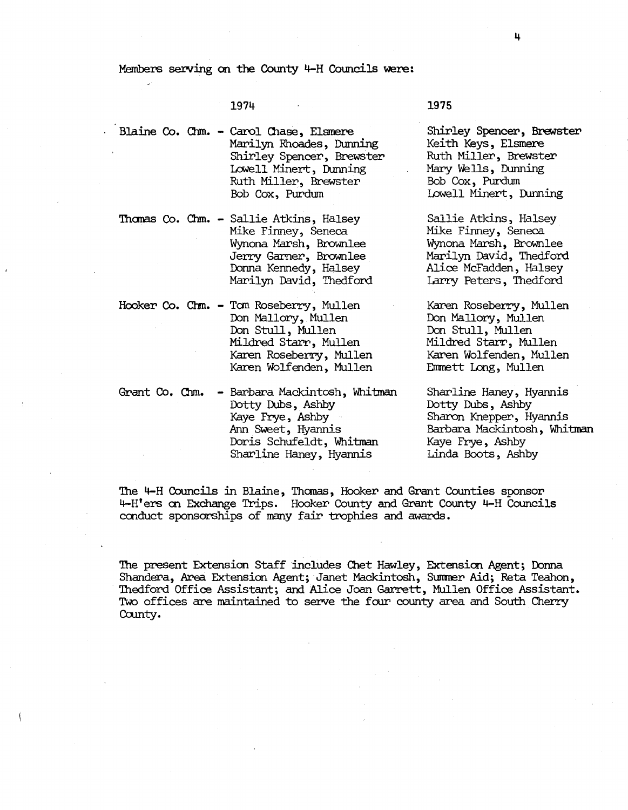Members serving on the County 4-H Councils were:

1974

Blaine Co. Chm. - Carol Chase, Elsmere Marilyn Rhoades, Dunning Shirley Spencer, Brewster Lowell Minert, Dunning Ruth Miller, Brewster Bob Cox, Purdum

Thanas Co. Chm. - Sallie Atkins, Halsey Mike Finney, Seneca. Wynona Marsh, Brownlee Jerry Garner, Brownlee Donna Kennedy, Halsey Marilyn David, Thedford

> Don Mallory, Mullen Don Stull, Mullen Mildred Starr, Mullen Karen Roseberry, Mullen Karen Wolfenden, Mullen

Hooker Co. Chm. - Tom Roseberry, Mullen

Grant Co. Chm. - Barbara Mackintosh, Whitman Dotty Dubs, Ashby Kaye Frye, Ashby Arm Sweet, Hyannis Doris Schufeldt , Whitman Sharline Haney, Hyannis

1975

Shirley Spencer, Brewster Keith Keys, Elsmere Ruth Miller, Brewster Mary Wells, Dunning Bob Cox, Purdum Lowell Minert, Dunning

Sallie Atkins, Halsey Mike Finney, Seneca. Wynona Marsh, Brownlee Marilyn David, Thedford Alice Mcfadden, Halsey Larry Peters, Thedford

Karen Roseberry, Mullen Don Mallory, Mullen Don Stull, Mullen Mildred Starr, Mullen Karen Wolfenden, Mullen Emmett Long, Mullen

Sharline Haney, Hyannis Dotty Dubs, Ashby Sharon Knepper, Hyannis Barbara Mackintosh , Whitman Kaye Frye, Ashby Linda Boots, Ashby

The 4-H Councils in Blaine, Thomas, Hooker and Grant Counties sponsor 4-H'ers on Exchange Trips. Hooker County and Grant County 4-H Councils conduct sponsorships of many fair trophies and awards.

The present Extension Staff includes Chet Hawley, Extension Agent; Donna Shandera, Area Extension Agent; Janet Mackintosh, Summer Aid; Reta Teahon, 'Ihedford Office Assistant; and. Alice Joan Garrett, Mullen Office Assistant. Two offices are maintained to serve the four county area and South Cherry County.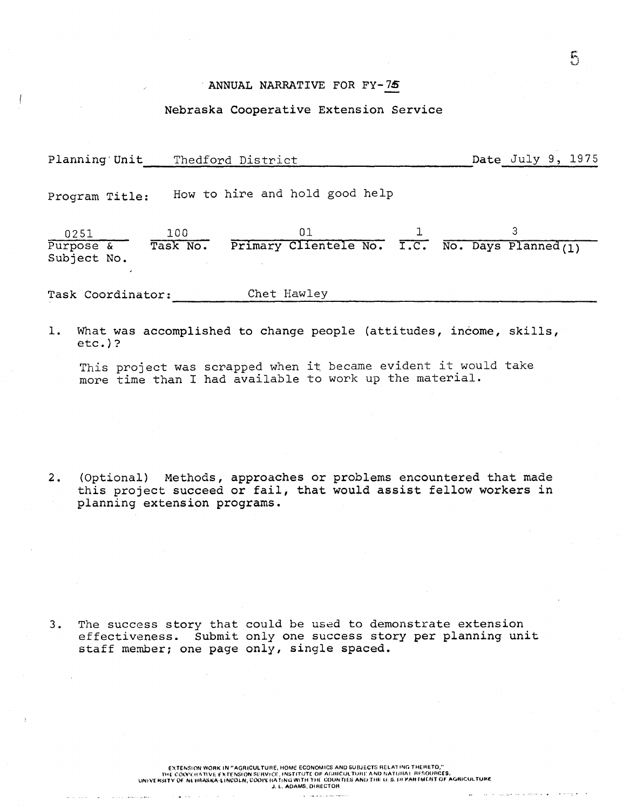#### ANNUAL NARRATIVE FOR FY-7S

#### Nebraska Cooperative Extension Service

Planning'Unit Thedford District  $\qquad$  Date July 9, 1975

Program Title: How to hire and hold good help

0251 Purpose & Subject No. 100 Task No.  $01$   $1$   $3$  $\begin{array}{cccc}\n & & & 01 & & & 1 & & 3 \\
\hline\n \text{Primary Cliente} & \text{No.} & \text{No.} & \text{P3-} & \text{N0-} & \text{P4-} & \text{N0-} & \text{P5-} & \text{N0-} & \text{P6-} & \text{N0-} & \text{P6-} & \text{N0-} & \text{P7-} & \text{N0-} & \text{P8-} & \text{N0-} & \text{P8-} & \text{N0-} & \text{P8-} & \text{N0-} & \text{P8-} & \text{N0-} & \text{P8-} & \text$ 

 $-$ 

 $\mathcal{F}_i$ 

Task Coordinator: Chet Hawley

carrer para

1. What was accomplished to change people (attitudes, income, skills, etc.)?

This project was scrapped when it became evident it would take more time than I had available to work up the material.

2. (Optional) Methods, approaches or problems encountered that made this project succeed or fail, that would assist fellow workers in planning extension programs.

3. The success story that could be used to demonstrate extension effectiveness. Submit only one success story per planning unit staff member; one page only, single spaced.

> EXTENSION WORK IN "AGRICULTURE, HOME eCONOMICS AND SUBJECTS RELATING THERETO," n'f ,~O(llYH~n\lE f~TfNSlON ~EIWICE. INSTlTlJTC OF A(,nICUL TlHl!' ANI) NAHJIlA. RFnOIJACfS, UNI\I[ "SHY Of N< "'''\SK''-~'NCOLN, Cool',"A fINO WITH nIl COUNTIEU ANI) Tilt I-J. ~.1I1 ~MI J"'~"T 0' A<ORICUI. TlJJ<E J, L, ADAMS, DIAECTOH

> > the company of the second services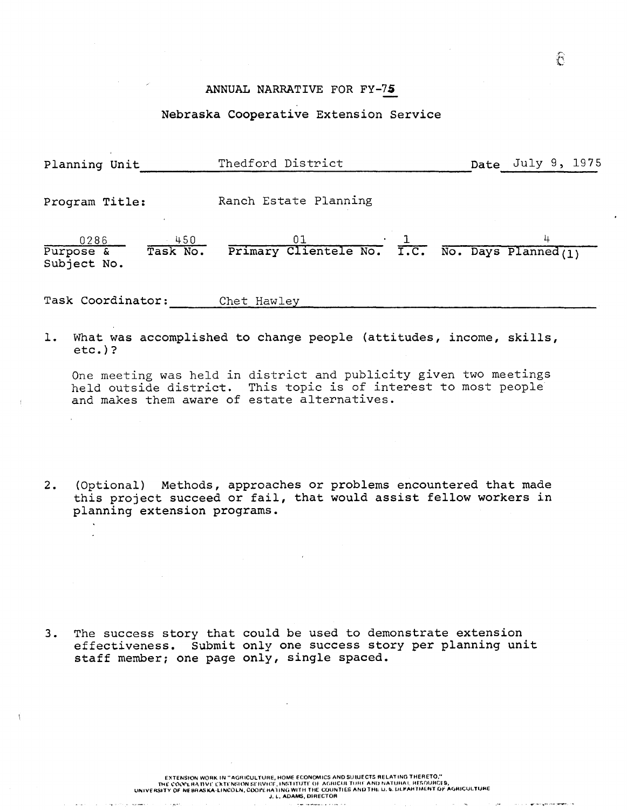## ANNUAL NARRATIVE FOR FY-7S

## Nebraska Cooperative Extension Service

| Planning Unit                                          | Thedford District                                                     | Date July 9, 1975 |
|--------------------------------------------------------|-----------------------------------------------------------------------|-------------------|
| Program Title:                                         | Ranch Estate Planning                                                 |                   |
| 0286<br>$-450$<br>Task No.<br>Purpose &<br>Subject No. | 01<br>Primary Clientele No. $T.C.$ No. Days Planned (1)               | 4                 |
| Task Coordinator:                                      | Chet Hawley                                                           |                   |
|                                                        | 1. What was accomplished to change people (attitudes, income, skills, |                   |

etc.)? One meeting was held in district and publicity given two meetings

held outside district. This topic is of interest to most people and makes them aware of estate alternatives.

2. (Optional) Methods, approaches or problems encountered that made this project succeed or fail, that would assist fellow workers in planning extension programs.

3. The success story that could be used to demonstrate extension effectiveness. Submit only one success story per planning unit staff member; one page only, single spaced.

> EXTENSION WORK IN "AGRICULTURE, HOME ECONOMICS ANOSUBJECTS RELATING THERETO," THE COOLERA TIVE EXTENSION SERVICE, INSTITUTE OF AGRICULTURE AND NATURAL. HESOURCES,<br>UNIVERSITY OF NEBRASKA-LINCOLN, COOPE HATING WITH THE GOUNTIES AND THE U. 5. DEPARTMENT OF AGRICULTURE<br>J. L. ADAMS, DIRECTOR

> > .<br>Februarie Maria Alexandria de A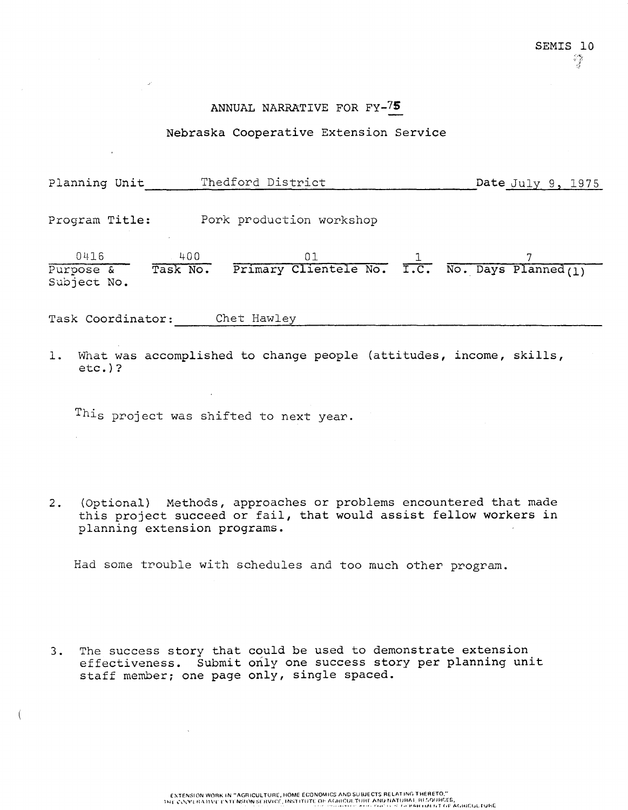## ANNUAL NARRATIVE FOR FY-75

### Nebraska Cooperative Extension Service

| Planning Unit       | Thedford District                                                  | Date July 9, 1975 |
|---------------------|--------------------------------------------------------------------|-------------------|
| Program Title:      | Pork production workshop                                           |                   |
| 0416<br>Subject No. |                                                                    |                   |
| Task Coordinator:   | Chet Hawley                                                        |                   |
| 1.<br>$etc.$ )?     | What was accomplished to change people (attitudes, income, skills, |                   |
|                     | This project was shifted to next year.                             |                   |

2. (Optional) Methods, approaches or problems encountered that made this project succeed or fail, that would assist fellow workers in planning extension programs.

Had some trouble with schedules and too much other program.

3. The success story that could be used to demonstrate extension effectiveness. Submit only one success story per planning unit staff member; one page only, single spaced.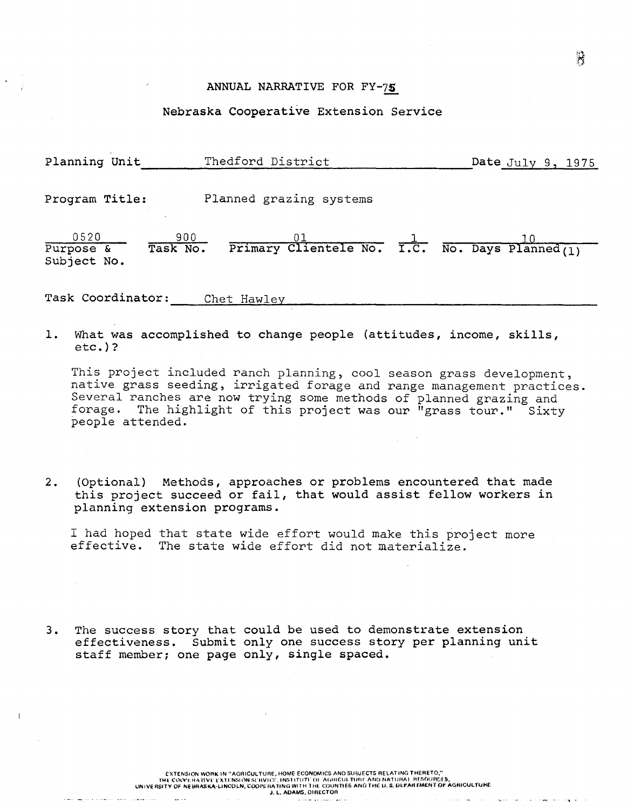#### ANNUAL NARRATIVE FOR FY-75

#### Nebraska Cooperative Extension Service

| Planning Unit                    | Thedford District                                                                             | Date July $9, 1975$ |
|----------------------------------|-----------------------------------------------------------------------------------------------|---------------------|
| Program Title:                   | Planned grazing systems                                                                       |                     |
| 0520<br>Purpose &<br>Subject No. | 900<br>$\frac{01}{\text{Primary } \text{Clientele No.}}$ T.C. No. Days Planned(1)<br>Task No. |                     |
| Task Coordinator:                | Chet Hawley                                                                                   |                     |

1. What was accomplished to change people (attitudes, income, skills, etc.)?

This project included ranch planning, cool season grass development, native grass seeding, irrigated forage and range management practices. Several ranches are now trying some methods of planned grazing and forage. The highlight of this project was our "grass tour." Sixty people attended.

2. (Optional) Methods, approaches or problems encountered that made this project succeed or fail, that would assist fellow workers in planning extension programs.

I had hoped that state wide effort would make this project more effective. The state wide effort did not materialize.

3. The success story that could be used to demonstrate extension effectiveness. Submit only one success story per planning unit staff member; one page only, single spaced.

 $\mathbf{r}$  and  $\mathbf{r}$  and  $\mathbf{r}$ 

 $\sim$   $\sim$ 

 $\sim$  100 km s  $\sim$  100

an international proposition and the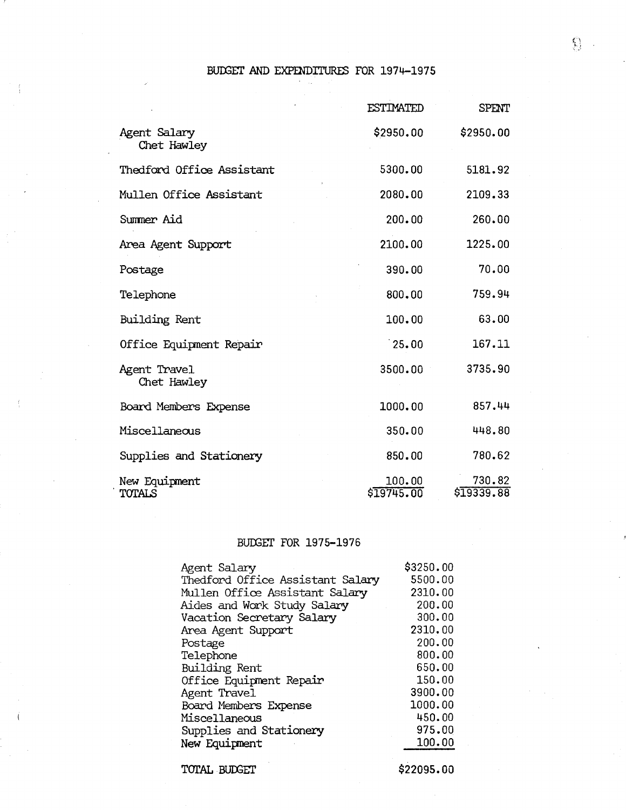# BUDGET AND EXPENDITURES FOR 1974-1975

|                             | <b>ESTIMATED</b>     | SPENT                |
|-----------------------------|----------------------|----------------------|
| Agent Salary<br>Chet Hawley | \$2950.00            | \$2950.00            |
| Thedford Office Assistant   | 5300.00              | 5181.92              |
| Mullen Office Assistant     | 2080.00              | 2109.33              |
| Summer Aid                  | 200.00               | 260.00               |
| Area Agent Support          | 2100.00              | 1225.00              |
| Postage                     | 390.00               | 70.00                |
| Telephone                   | 800.00               | 759.94               |
| Building Rent               | 100.00               | 63.00                |
| Office Equipment Repair     | 25.00                | 167.11               |
| Agent Travel<br>Chet Hawley | 3500.00              | 3735.90              |
| Board Members Expense       | 1000.00              | 857.44               |
| Miscellaneous               | 350.00               | 448.80               |
| Supplies and Stationery     | 850.00               | 780.62               |
| New Equipment<br>TOTALS     | 100.00<br>\$19745.00 | 730.82<br>\$19339.88 |

# BUDGET FOR 1975-1976

| Agent Salary                     | \$3250.00  |
|----------------------------------|------------|
| Thedford Office Assistant Salary | 5500.00    |
| Mullen Office Assistant Salary   | 2310.00    |
| Aides and Work Study Salary      | 200.00     |
| Vacation Secretary Salary        | 300.00     |
| Area Agent Support               | 2310.00    |
| Postage                          | 200.00     |
| Telephone                        | 800.00     |
| Building Rent                    | 650.00     |
| Office Equipment Repair          | 150.00     |
| Agent Travel                     | 3900.00    |
| Board Members Expense            | 1000.00    |
| Miscellaneous                    | 450.00     |
| Supplies and Stationery          | 975.00     |
| New Equipment                    | 100.00     |
| TOTAL BUDGET                     | \$22095.00 |
|                                  |            |

 $\Omega_{\rm{c}}$  .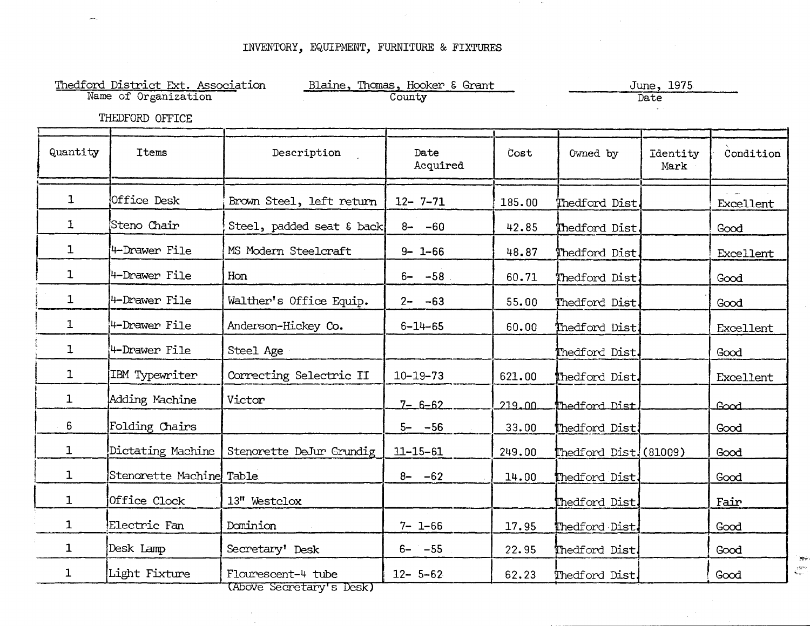$\sim$ 

|              | Thedford District Ext. Association<br>Name of Organization |                           | Blaine, Thomas, Hooker & Grant<br>County |        |                       | June, 1975<br>Date |           |
|--------------|------------------------------------------------------------|---------------------------|------------------------------------------|--------|-----------------------|--------------------|-----------|
|              | THEDFORD OFFICE                                            |                           |                                          |        |                       |                    |           |
| Quantity     | <b>Items</b>                                               | Description               | Date<br>Acquired                         | Cost   | Owned by              | Identity<br>Mark   | Condition |
| $\mathbf{1}$ | Office Desk                                                | Brown Steel, left return  | $12 - 7 - 71$                            | 185.00 | Thedford Dist.        |                    | Excellent |
| $\mathbf{1}$ | Steno Chair                                                | Steel, padded seat & back | $8 - -60$                                | 42.85  | Thedford Dist.        |                    | Good      |
| $\mathbf{1}$ | 4-Drawer File                                              | MS Modern Steelcraft      | $9 - 1 - 66$                             | 48.87  | Thedford Dist.        |                    | Excellent |
| $\mathbf{1}$ | 4-Drawer File                                              | Hon                       | $6 - -58$                                | 60.71  | Thedford Dist.        |                    | Good      |
| $\mathbf{1}$ | 4-Drawer File                                              | Walther's Office Equip.   | $2 - -63$                                | 55.00  | Thedford Dist.        |                    | Good      |
| $\mathbf{1}$ | 4-Drawer File                                              | Anderson-Hickey Co.       | $6 - 14 - 65$                            | 60.00  | Thedford Dist.        |                    | Excellent |
| $\mathbf{1}$ | 4-Drawer File                                              | Steel Age                 |                                          |        | Thedford Dist.        |                    | Good      |
| $\mathbf{1}$ | IBM Typewriter                                             | Correcting Selectric II   | $10 - 19 - 73$                           | 621.00 | Thedford Dist.        |                    | Excellent |
| $\mathbf{1}$ | Adding Machine                                             | Victor                    | $7 - 6 - 62$                             | 219.00 | Thedford Dist         |                    | Good      |
| 6            | Folding Chairs                                             |                           | $5 - -56$                                | 33.00  | Thedford Dist.        |                    | Good      |
| $\mathbf{1}$ | Dictating Machine                                          | Stenorette DeJur Grundig  | $11 - 15 - 61$                           | 249.00 | Thedford Dist!(81009) |                    | Good      |
| 1            | Stenorette Machine Table                                   |                           | $8 - -62$                                | 14.00  | Thedford Dist.        |                    | Good      |
| $\mathbf{1}$ | Office Clock                                               | 13" Westclox              |                                          |        | Thedford Dist.        |                    | Fair      |
| $\mathbf{1}$ | Electric Fan                                               | Dominion                  | $7 - 1 - 66$                             | 17.95  | Thedford Dist.        |                    | Good      |
| 1            | Desk Lamp                                                  | Secretary' Desk           | $6 - -55$                                | 22.95  | Thedford Dist.        |                    | Good      |
| $\mathbf{1}$ | Light Fixture                                              | Flourescent-4 tube        | $12 - 5 - 62$                            | 62.23  | Thedford Dist         |                    | Good      |

(Above Secretary's Desk)

 $\zeta^{\rm gas}$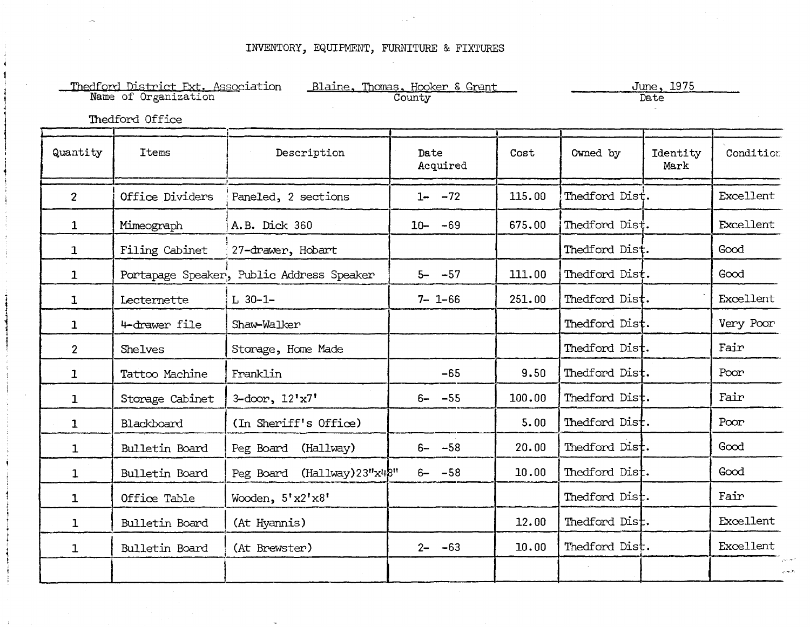| Thedford District Ext. Association<br>Name of Organization<br>Blaine, Thomas, Hooker & Grant<br>June, 1975<br>County<br>Date<br>Thedford Office |                 |                                           |                  |        |                |                  |           |
|-------------------------------------------------------------------------------------------------------------------------------------------------|-----------------|-------------------------------------------|------------------|--------|----------------|------------------|-----------|
| Quantity                                                                                                                                        | <b>Items</b>    | Description                               | Date<br>Acquired | Cost   | Owned by       | Identity<br>Mark | Condition |
| 2 <sup>1</sup>                                                                                                                                  | Office Dividers | Paneled, 2 sections                       | $1 - -72$        | 115.00 | Thedford Dist. |                  | Excellent |
| $\mathbf{1}$                                                                                                                                    | Mimeograph      | A.B. Dick 360                             | $-69$<br>$10 -$  | 675.00 | Thedford Dist. |                  | Excellent |
| $\mathbf{1}$                                                                                                                                    | Filing Cabinet  | 27-drawer, Hobart                         |                  |        | Thedford Dist. |                  | Good      |
| $\mathbf{1}$                                                                                                                                    |                 | Portapage Speaker, Public Address Speaker | $-57$<br>$5-$    | 111.00 | Thedford Dist. |                  | Good      |
| $\mathbf{1}$                                                                                                                                    | Lecternette     | $L$ 30-1-                                 | $7 - 1 - 66$     | 251.00 | Thedford Dist. |                  | Excellent |
| $\mathbf{1}$                                                                                                                                    | 4-drawer file   | Shaw-Walker                               |                  |        | Thedford Dist. |                  | Very Poor |
| 2 <sup>1</sup>                                                                                                                                  | Shelves         | Storage, Home Made                        |                  |        | Thedford Dist. |                  | Fair      |
| $\mathbf{1}$                                                                                                                                    | Tattoo Machine  | Franklin                                  | $-65$            | 9.50   | Thedford Dist. |                  | Poor      |
| $\mathbf{1}$                                                                                                                                    | Storage Cabinet | 3-door, $12'x7'$                          | $6 - -55$        | 100.00 | Thedford Dist. |                  | Fair      |
| $\mathbf{1}$                                                                                                                                    | Blackboard      | (In Sheriff's Office)                     |                  | 5.00   | Thedford Dist. |                  | Poor      |
| $\mathbf{1}$                                                                                                                                    | Bulletin Board  | Peg Board (Hallway)                       | $-58$<br>$6-$    | 20.00  | Thedford Dist. |                  | Good      |
| $\mathbf{1}$                                                                                                                                    | Bulletin Board  | Peg Board (Hallway)23"x48"                | $6 - -58$        | 10.00  | Thedford Dist. |                  | Good      |
| $\mathbf{1}$                                                                                                                                    | Office Table    | Wooden, 5'x2'x8'                          |                  |        | Thedford Dist. |                  | Fair      |
| $\mathbf{1}$                                                                                                                                    | Bulletin Board  | (At Hyannis)                              |                  | 12.00  | Thedford Dist. |                  | Excellent |
| $\mathbf{1}$                                                                                                                                    | Bulletin Board  | (At Brewster)                             | $2 - -63$        | 10.00  | Thedford Dist. |                  | Excellent |
|                                                                                                                                                 |                 |                                           |                  |        |                |                  |           |

 $1$ 

 $\mathbf{l}$ 

 $\vdots$ 1  $\frac{1}{4}$ 1  $\mathbf{1}$ į.  $\mathbf{I}$  , i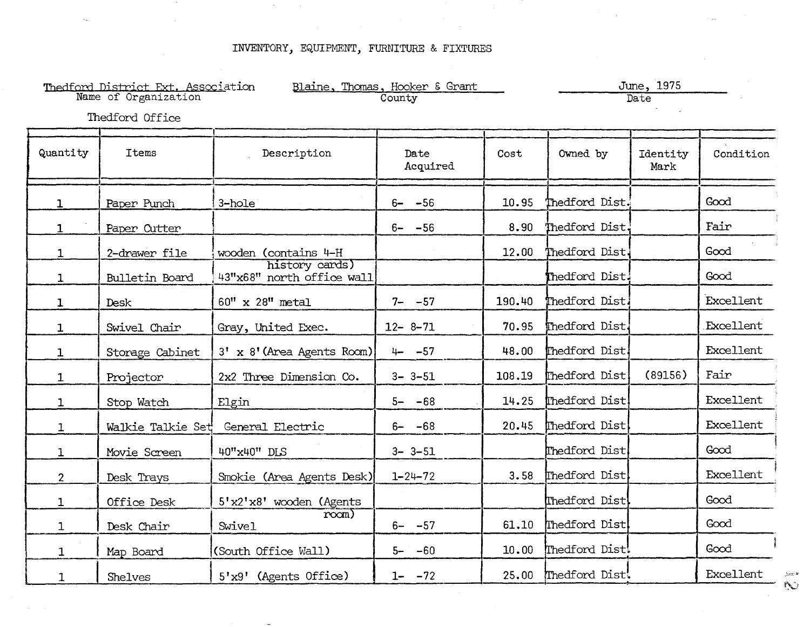$\sim 10^{-1}$ 

|              | Thedford District Ext. Association<br>Name of Organization<br>Thedford Office |                                             | Blaine, Thomas, Hooker & Grant<br>County |        |                 | June, 1975<br>Date |           |
|--------------|-------------------------------------------------------------------------------|---------------------------------------------|------------------------------------------|--------|-----------------|--------------------|-----------|
| Quantity     | <b>Ttems</b>                                                                  | Description                                 | Date<br>Acquired                         | Cost   | Owned by        | Identity<br>Mark   | Condition |
| $\mathbf{1}$ | Paper Punch                                                                   | 3-hole                                      | $6 - -56$                                | 10.95  | Thedford Dist.  |                    | Good      |
| $\mathbf{1}$ | Paper Cutter                                                                  |                                             | $6 - -56$                                | 8.90   | Thedford Dist.  |                    | Fair      |
| $\mathbf{1}$ | 2-drawer file                                                                 | wooden (contains 4-H                        |                                          | 12.00  | Thedford Dist   |                    | Good      |
| $\mathbf{1}$ | Bulletin Board                                                                | history cards)<br>43"x68" north office wall |                                          |        | Thedford Dist.  |                    | Good      |
| 1            | <b>Desk</b>                                                                   | 60" x 28" metal                             | $7 - -57$                                | 190.40 | Thedford Dist.  |                    | Excellent |
| $\mathbf{1}$ | Swivel Chair                                                                  | Gray, United Exec.                          | $12 - 8 - 71$                            | 70.95  | Thedford Dist.  |                    | Excellent |
| $\mathbf{1}$ | Storage Cabinet                                                               | 3' x 8' (Area Agents Room)                  | $4 - -57$                                | 48.00  | Thedford Dist   |                    | Excellent |
| $\mathbf{1}$ | Projector                                                                     | 2x2 Three Dimension Co.                     | $3 - 3 - 51$                             | 108.19 | Thedford Dist   | (89156)            | Fair      |
| $\mathbf{1}$ | Stop Watch                                                                    | Elgin                                       | $5 - -68$                                | 14.25  | Thedford Dist   |                    | Excellent |
| $\mathbf{1}$ | Walkie Talkie Set                                                             | General Electric                            | $6 - -68$                                | 20.45  | Thedford Dist   |                    | Excellent |
| $\mathbf{1}$ | Movie Screen                                                                  | 40"x40" DLS                                 | $3 - 3 - 51$                             |        | Thedford Dist   |                    | Good      |
| $2^{\circ}$  | Desk Trays                                                                    | Smokie (Area Agents Desk)                   | $1 - 24 - 72$                            | 3.58   | Thedford Dist   |                    | Excellent |
| $\mathbf{1}$ | Office Desk                                                                   | 5'x2'x8' wooden (Agents                     |                                          |        | [Thedford Dist] |                    | Good      |
| $\mathbf{1}$ | Desk Chair                                                                    | $r$ ocm)<br>Swivel                          | $6 - -57$                                | 61.10  | Thedford Dist   |                    | Good      |
| $\mathbf{1}$ | Map Board                                                                     | (South Office Wall)                         | $5 - -60$                                | 10.00  | Thedford Dist!  |                    | Good      |
| $\mathbf{1}$ | Shelves                                                                       | $5'x9'$ (Agents Office)                     | $1 - -72$                                | 25.00  | Thedford Dist!  |                    | Excellent |

 $\sim$   $\omega$  $\hat{D}$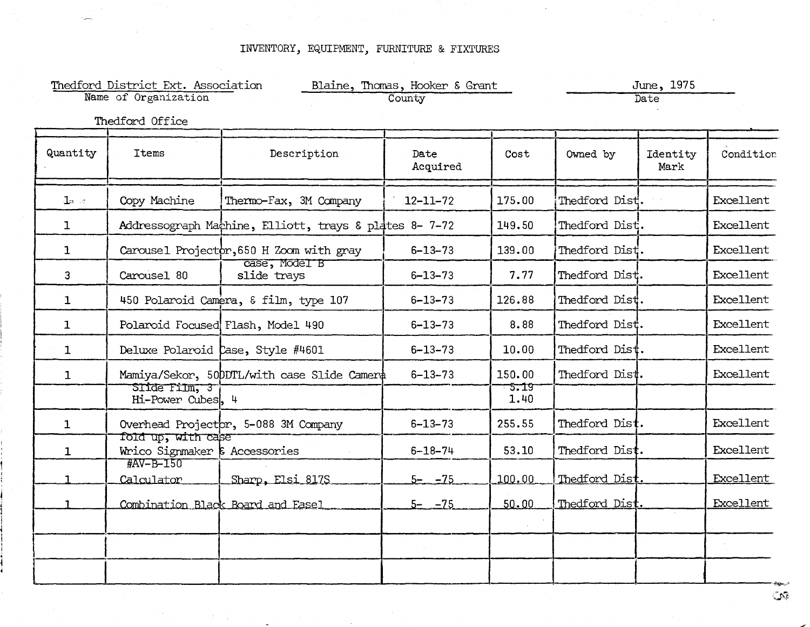| Thedford District Ext. Association<br>Name of Organization |                                                              | Blaine, Thomas, Hooker & Grant<br>County               |                  | June, 1975<br>Date |                |                  |           |
|------------------------------------------------------------|--------------------------------------------------------------|--------------------------------------------------------|------------------|--------------------|----------------|------------------|-----------|
|                                                            | Thedford Office                                              |                                                        |                  |                    |                |                  |           |
| Quantity                                                   | Items                                                        | Description                                            | Date<br>Acquired | Cost               | Owned by       | Identity<br>Mark | Condition |
| $\mathbf{1}_{2}$ at                                        | Copy Machine                                                 | Thermo-Fax, 3M Company                                 | $12 - 11 - 72$   | 175.00             | Thedford Dist. |                  | Excellent |
| $\mathbf{1}$                                               |                                                              | Addressograph Machine, Elliott, trays & plates 8- 7-72 |                  | 149.50             | Thedford Dist. |                  | Excellent |
| $\mathbf{1}$                                               |                                                              | Carousel Projector, 650 H Zoom with gray               | $6 - 13 - 73$    | 139.00             | Thedford Dist. |                  | Excellent |
| 3                                                          | Carousel 80                                                  | case, Model B<br>slide trays                           | $6 - 13 - 73$    | 7.77               | Thedford Dist. |                  | Excellent |
| $\mathbf{1}$                                               |                                                              | 450 Polaroid Camera, & film, type 107                  | $6 - 13 - 73$    | 126.88             | Thedford Dist. |                  | Excellent |
| $\mathbf{1}$                                               |                                                              | Polaroid Focused Flash, Model 490                      | $6 - 13 - 73$    | 8.88               | Thedford Dist. |                  | Excellent |
| $\mathbf{1}$                                               |                                                              | Deluxe Polaroid Case, Style #4601                      | $6 - 13 - 73$    | 10.00              | Thedford Dist. |                  | Excellent |
| 1                                                          |                                                              | Mamiya/Sekor, 50DDTL/with case Slide Camera            | $6 - 13 - 73$    | 150.00             | Thedford Dist. |                  | Excellent |
|                                                            | Slide Film, 3<br>Hi-Power Cubes, 4                           |                                                        |                  | $-5.19$<br>1.40    |                |                  |           |
| $\mathbf{1}$                                               |                                                              | Overhead Projector, 5-088 3M Company                   | $6 - 13 - 73$    | 255.55             | Thedford Dist. |                  | Excellent |
| $\mathbf{1}$                                               | fold up, with case<br>Wrico Signmaker $\epsilon$ Accessories |                                                        | $6 - 18 - 74$    | 53.10              | Thedford Dist. |                  | Excellent |
| 1.                                                         | #AV-B-150<br>Calculator                                      | Sharp, Elsi 817S                                       | $5 - -75$        | 100.00             | Thedford Dist. |                  | Excellent |
| 1                                                          |                                                              | Combination Black Board and Fasel                      | $5 - -75$        | 50.00              | Thedford Dist. |                  | Excellent |
|                                                            |                                                              |                                                        |                  |                    |                |                  |           |
|                                                            |                                                              |                                                        |                  |                    |                |                  |           |
|                                                            |                                                              |                                                        |                  |                    |                |                  |           |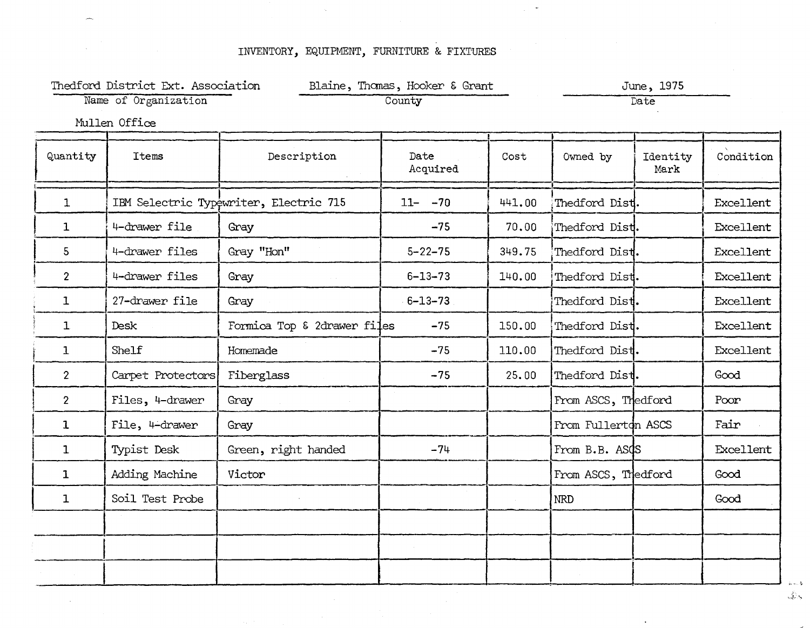|                      | Thedford District Ext. Association |                                        | Blaine, Thomas, Hooker & Grant |        |                     | June, 1975       |           |  |
|----------------------|------------------------------------|----------------------------------------|--------------------------------|--------|---------------------|------------------|-----------|--|
| Name of Organization |                                    | County                                 |                                | Date   |                     |                  |           |  |
|                      | Mullen Office                      |                                        |                                |        |                     |                  |           |  |
| Quantity             | <b>Items</b>                       | Description                            | Date<br>Acquired               | Cost   | Owned by            | Identity<br>Mark | Condition |  |
| $\mathbf{1}$         |                                    | IBM Selectric Typewriter, Electric 715 | $11 - -70$                     | 441.00 | Thedford Dist.      |                  | Excellent |  |
| $\mathbf{1}$         | 4-drawer file                      | Gray                                   | $-75$                          | 70.00  | Thedford Dist.      |                  | Excellent |  |
| $5\phantom{.}$       | 4-drawer files                     | Gray "Hon"                             | $5 - 22 - 75$                  | 349.75 | Thedford Dist.      |                  | Excellent |  |
| $\overline{2}$       | 4-drawer files                     | Gray                                   | $6 - 13 - 73$                  | 140.00 | Thedford Dist.      |                  | Excellent |  |
| $\mathbf{I}$         | 27-drawer file                     | Gray                                   | $6 - 13 - 73$                  |        | Thedford Dist.      |                  | Excellent |  |
| $\mathbf{1}$         | Desk                               | Formica Top & 2drawer files            | $-75$                          | 150.00 | Thedford Dist.      |                  | Excellent |  |
| $\mathbf{1}$         | Shelf                              | Homemade                               | $-75$                          | 110.00 | Thedford Dist.      |                  | Excellent |  |
| $\overline{2}$       | Carpet Protectors                  | Fiberglass                             | $-75$                          | 25.00  | Thedford Dist.      |                  | Good      |  |
| $\overline{2}$       | Files, 4-drawer                    | Gray                                   |                                |        | From ASCS, Thedford |                  | Poor      |  |
| $\mathbf{1}$         | File, 4-drawer                     | Gray                                   |                                |        | From Fullerton ASCS |                  | Fair      |  |
| $\mathbf{1}$         | Typist Desk                        | Green, right handed                    | $-74$                          |        | From B.B. ASCS      |                  | Excellent |  |
| $\mathbf{1}$         | Adding Machine                     | Victor                                 |                                |        | From ASCS, Thedford |                  | Good      |  |
| $\mathbf{1}$         | Soil Test Probe                    |                                        |                                |        | <b>NRD</b>          |                  | Good      |  |
|                      |                                    |                                        |                                |        |                     |                  |           |  |
|                      |                                    |                                        |                                |        |                     |                  |           |  |
|                      |                                    |                                        |                                |        |                     |                  |           |  |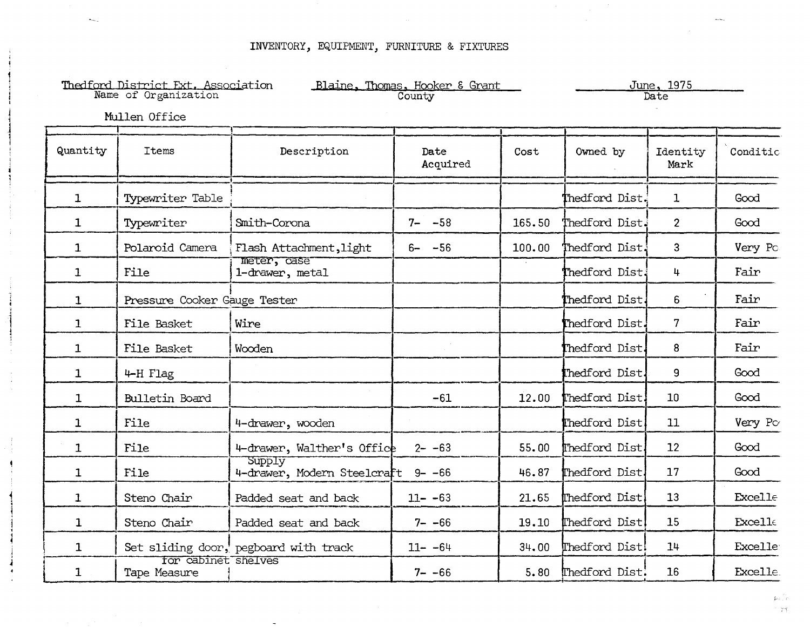|              | Thedford District Ext. Association<br>Name of Organization<br>Mullen Office |                                       | Blaine, Thomas, Hooker & Grant<br>County |        |                | June, 1975<br>Date |                |
|--------------|-----------------------------------------------------------------------------|---------------------------------------|------------------------------------------|--------|----------------|--------------------|----------------|
| Quantity     | Items                                                                       | Description                           | Date<br>Acquired                         | Cost   | Owned by       | Identity<br>Mark   | Conditio       |
| $\mathbf{1}$ | Typewriter Table                                                            |                                       |                                          |        | Thedford Dist. | $\mathbf{1}$       | Good           |
| $\mathbf{1}$ | Typewriter                                                                  | Smith-Corona                          | $7 - -58$                                | 165.50 | Thedford Dist. | $\overline{2}$     | Good           |
| $\mathbf{1}$ | Polaroid Camera                                                             | Flash Attachment, light               | $6 - -56$                                | 100.00 | Thedford Dist. | 3                  | Very Po        |
| $\mathbf{1}$ | File                                                                        | meter, case<br>1-drawer, metal        |                                          |        | Thedford Dist. | 4                  | Fair           |
| $\mathbf{1}$ | Pressure Cooker Gauge Tester                                                |                                       |                                          |        | Thedford Dist. | 6                  | Fair           |
| $\mathbf{1}$ | File Basket                                                                 | Wire                                  |                                          |        | Thedford Dist. | $7\phantom{.}$     | Fair           |
| $\mathbf{1}$ | File Basket                                                                 | Wooden                                |                                          |        | Thedford Dist. | 8                  | Fair           |
| $\mathbf 1$  | 4-H Flag                                                                    |                                       |                                          |        | Thedford Dist. | 9                  | Good           |
| $\mathbf{1}$ | Bulletin Board                                                              |                                       | $-61$                                    | 12.00  | Thedford Dist. | 10                 | Good           |
| $\mathbf{1}$ | File                                                                        | 4-drawer, wooden                      |                                          |        | Thedford Dist  | 11                 | Very Po        |
| $\mathbf{1}$ | File                                                                        | 4-drawer, Walther's Office            | $2 - -63$                                | 55.00  | Thedford Dist. | 12                 | Good           |
| $\mathbf{1}$ | File                                                                        | Supply<br>4-drawer, Modern Steelcraft | $9 - -66$                                | 46.87  | Thedford Dist. | 17                 | Good           |
| $\mathbf{1}$ | Steno Chair                                                                 | Padded seat and back                  | $11 - -63$                               | 21.65  | Thedford Dist  | 13                 | <b>Excelle</b> |
| $\mathbf{1}$ | Steno Chair                                                                 | Padded seat and back                  | $7 - -66$                                | 19.10  | Thedford Dist  | 15                 | Excelle        |
| $\mathbf{1}$ |                                                                             | Set sliding door, pegboard with track | $11 - -64$                               | 34.00  | Thedford Dist! | 14                 | <b>Excelle</b> |
| $\mathbf 1$  | for cabinet shelves<br>Tape Measure                                         |                                       | $7 - -66$                                | 5.80   | Thedford Dist: | 16                 | Excelle.       |

.<br>Voqealar  $\mathcal{I}^{\mathcal{A}}$